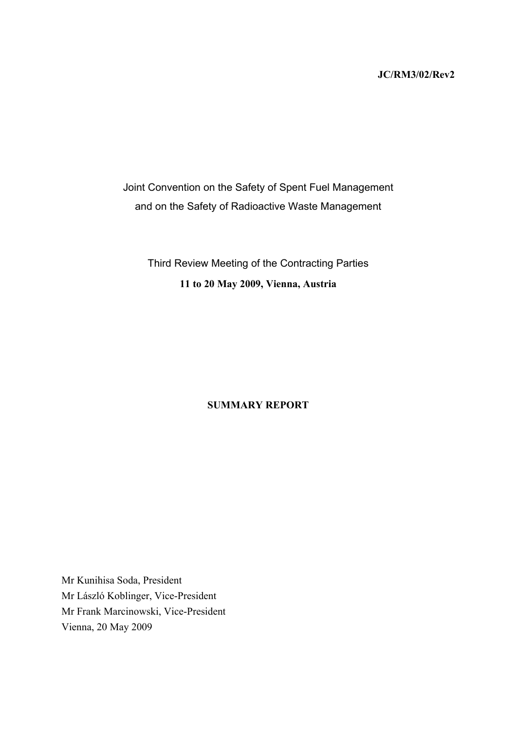#### **JC/RM3/02/Rev2**

Joint Convention on the Safety of Spent Fuel Management and on the Safety of Radioactive Waste Management

Third Review Meeting of the Contracting Parties **11 to 20 May 2009, Vienna, Austria** 

#### **SUMMARY REPORT**

Mr Kunihisa Soda, President Mr László Koblinger, Vice-President Mr Frank Marcinowski, Vice-President Vienna, 20 May 2009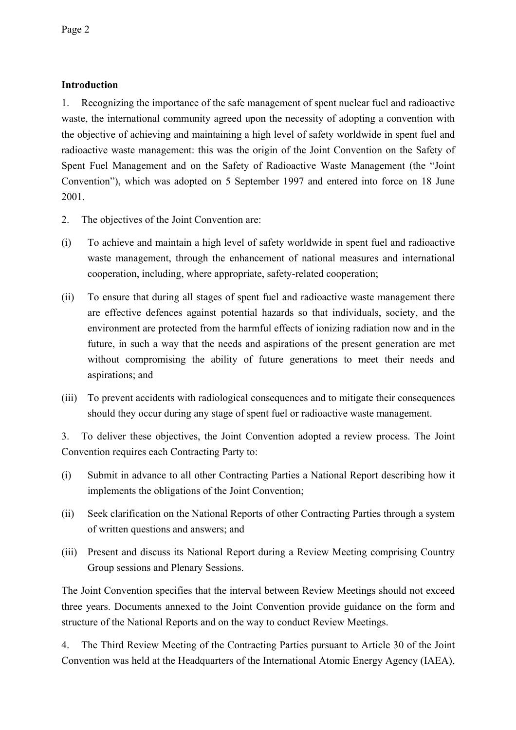### **Introduction**

1. Recognizing the importance of the safe management of spent nuclear fuel and radioactive waste, the international community agreed upon the necessity of adopting a convention with the objective of achieving and maintaining a high level of safety worldwide in spent fuel and radioactive waste management: this was the origin of the Joint Convention on the Safety of Spent Fuel Management and on the Safety of Radioactive Waste Management (the "Joint Convention"), which was adopted on 5 September 1997 and entered into force on 18 June 2001.

- 2. The objectives of the Joint Convention are:
- (i) To achieve and maintain a high level of safety worldwide in spent fuel and radioactive waste management, through the enhancement of national measures and international cooperation, including, where appropriate, safety-related cooperation;
- (ii) To ensure that during all stages of spent fuel and radioactive waste management there are effective defences against potential hazards so that individuals, society, and the environment are protected from the harmful effects of ionizing radiation now and in the future, in such a way that the needs and aspirations of the present generation are met without compromising the ability of future generations to meet their needs and aspirations; and
- (iii) To prevent accidents with radiological consequences and to mitigate their consequences should they occur during any stage of spent fuel or radioactive waste management.

3. To deliver these objectives, the Joint Convention adopted a review process. The Joint Convention requires each Contracting Party to:

- (i) Submit in advance to all other Contracting Parties a National Report describing how it implements the obligations of the Joint Convention;
- (ii) Seek clarification on the National Reports of other Contracting Parties through a system of written questions and answers; and
- (iii) Present and discuss its National Report during a Review Meeting comprising Country Group sessions and Plenary Sessions.

The Joint Convention specifies that the interval between Review Meetings should not exceed three years. Documents annexed to the Joint Convention provide guidance on the form and structure of the National Reports and on the way to conduct Review Meetings.

4. The Third Review Meeting of the Contracting Parties pursuant to Article 30 of the Joint Convention was held at the Headquarters of the International Atomic Energy Agency (IAEA),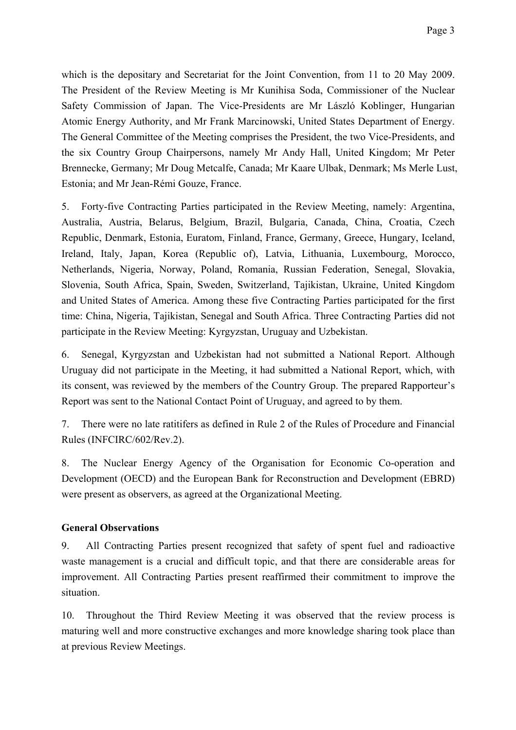which is the depositary and Secretariat for the Joint Convention, from 11 to 20 May 2009. The President of the Review Meeting is Mr Kunihisa Soda, Commissioner of the Nuclear Safety Commission of Japan. The Vice-Presidents are Mr László Koblinger, Hungarian Atomic Energy Authority, and Mr Frank Marcinowski, United States Department of Energy. The General Committee of the Meeting comprises the President, the two Vice-Presidents, and the six Country Group Chairpersons, namely Mr Andy Hall, United Kingdom; Mr Peter Brennecke, Germany; Mr Doug Metcalfe, Canada; Mr Kaare Ulbak, Denmark; Ms Merle Lust, Estonia; and Mr Jean-Rémi Gouze, France.

5. Forty-five Contracting Parties participated in the Review Meeting, namely: Argentina, Australia, Austria, Belarus, Belgium, Brazil, Bulgaria, Canada, China, Croatia, Czech Republic, Denmark, Estonia, Euratom, Finland, France, Germany, Greece, Hungary, Iceland, Ireland, Italy, Japan, Korea (Republic of), Latvia, Lithuania, Luxembourg, Morocco, Netherlands, Nigeria, Norway, Poland, Romania, Russian Federation, Senegal, Slovakia, Slovenia, South Africa, Spain, Sweden, Switzerland, Tajikistan, Ukraine, United Kingdom and United States of America. Among these five Contracting Parties participated for the first time: China, Nigeria, Tajikistan, Senegal and South Africa. Three Contracting Parties did not participate in the Review Meeting: Kyrgyzstan, Uruguay and Uzbekistan.

6. Senegal, Kyrgyzstan and Uzbekistan had not submitted a National Report. Although Uruguay did not participate in the Meeting, it had submitted a National Report, which, with its consent, was reviewed by the members of the Country Group. The prepared Rapporteur's Report was sent to the National Contact Point of Uruguay, and agreed to by them.

7. There were no late ratitifers as defined in Rule 2 of the Rules of Procedure and Financial Rules (INFCIRC/602/Rev.2).

8. The Nuclear Energy Agency of the Organisation for Economic Co-operation and Development (OECD) and the European Bank for Reconstruction and Development (EBRD) were present as observers, as agreed at the Organizational Meeting.

#### **General Observations**

9. All Contracting Parties present recognized that safety of spent fuel and radioactive waste management is a crucial and difficult topic, and that there are considerable areas for improvement. All Contracting Parties present reaffirmed their commitment to improve the situation.

10. Throughout the Third Review Meeting it was observed that the review process is maturing well and more constructive exchanges and more knowledge sharing took place than at previous Review Meetings.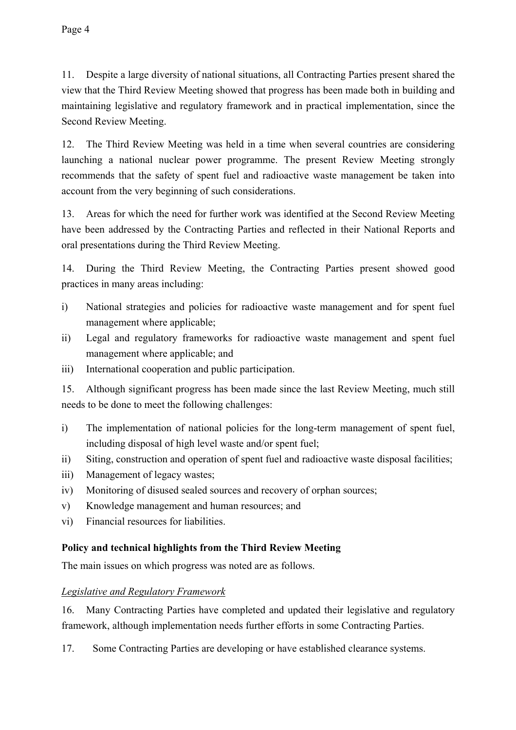11. Despite a large diversity of national situations, all Contracting Parties present shared the view that the Third Review Meeting showed that progress has been made both in building and maintaining legislative and regulatory framework and in practical implementation, since the Second Review Meeting.

12. The Third Review Meeting was held in a time when several countries are considering launching a national nuclear power programme. The present Review Meeting strongly recommends that the safety of spent fuel and radioactive waste management be taken into account from the very beginning of such considerations.

13. Areas for which the need for further work was identified at the Second Review Meeting have been addressed by the Contracting Parties and reflected in their National Reports and oral presentations during the Third Review Meeting.

14. During the Third Review Meeting, the Contracting Parties present showed good practices in many areas including:

- i) National strategies and policies for radioactive waste management and for spent fuel management where applicable;
- ii) Legal and regulatory frameworks for radioactive waste management and spent fuel management where applicable; and
- iii) International cooperation and public participation.

15. Although significant progress has been made since the last Review Meeting, much still needs to be done to meet the following challenges:

- i) The implementation of national policies for the long-term management of spent fuel, including disposal of high level waste and/or spent fuel;
- ii) Siting, construction and operation of spent fuel and radioactive waste disposal facilities;
- iii) Management of legacy wastes;
- iv) Monitoring of disused sealed sources and recovery of orphan sources;
- v) Knowledge management and human resources; and
- vi) Financial resources for liabilities.

#### **Policy and technical highlights from the Third Review Meeting**

The main issues on which progress was noted are as follows.

#### *Legislative and Regulatory Framework*

16. Many Contracting Parties have completed and updated their legislative and regulatory framework, although implementation needs further efforts in some Contracting Parties.

17. Some Contracting Parties are developing or have established clearance systems.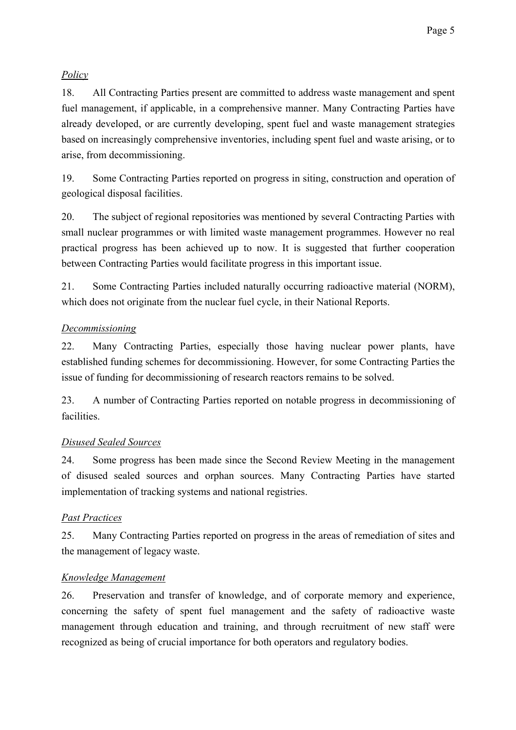# *Policy*

18. All Contracting Parties present are committed to address waste management and spent fuel management, if applicable, in a comprehensive manner. Many Contracting Parties have already developed, or are currently developing, spent fuel and waste management strategies based on increasingly comprehensive inventories, including spent fuel and waste arising, or to arise, from decommissioning.

19. Some Contracting Parties reported on progress in siting, construction and operation of geological disposal facilities.

20. The subject of regional repositories was mentioned by several Contracting Parties with small nuclear programmes or with limited waste management programmes. However no real practical progress has been achieved up to now. It is suggested that further cooperation between Contracting Parties would facilitate progress in this important issue.

21. Some Contracting Parties included naturally occurring radioactive material (NORM), which does not originate from the nuclear fuel cycle, in their National Reports.

## *Decommissioning*

22. Many Contracting Parties, especially those having nuclear power plants, have established funding schemes for decommissioning. However, for some Contracting Parties the issue of funding for decommissioning of research reactors remains to be solved.

23. A number of Contracting Parties reported on notable progress in decommissioning of facilities.

## *Disused Sealed Sources*

24. Some progress has been made since the Second Review Meeting in the management of disused sealed sources and orphan sources. Many Contracting Parties have started implementation of tracking systems and national registries.

# *Past Practices*

25. Many Contracting Parties reported on progress in the areas of remediation of sites and the management of legacy waste.

## *Knowledge Management*

26. Preservation and transfer of knowledge, and of corporate memory and experience, concerning the safety of spent fuel management and the safety of radioactive waste management through education and training, and through recruitment of new staff were recognized as being of crucial importance for both operators and regulatory bodies.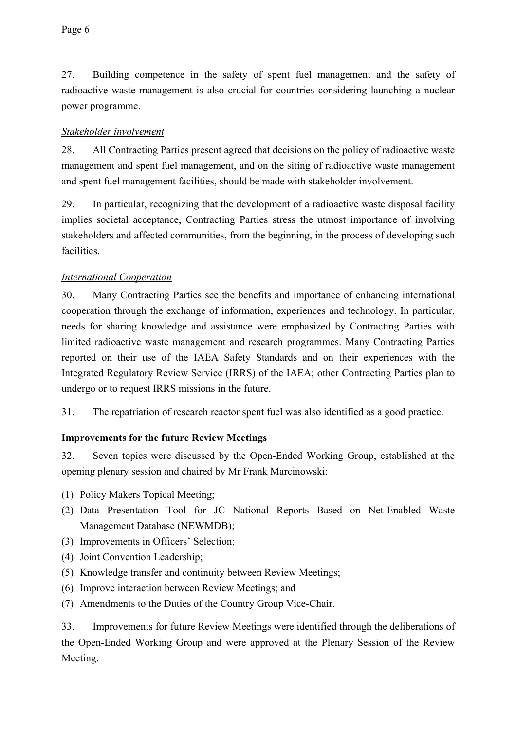27. Building competence in the safety of spent fuel management and the safety of radioactive waste management is also crucial for countries considering launching a nuclear power programme.

### *Stakeholder involvement*

28. All Contracting Parties present agreed that decisions on the policy of radioactive waste management and spent fuel management, and on the siting of radioactive waste management and spent fuel management facilities, should be made with stakeholder involvement.

29. In particular, recognizing that the development of a radioactive waste disposal facility implies societal acceptance, Contracting Parties stress the utmost importance of involving stakeholders and affected communities, from the beginning, in the process of developing such facilities.

### *International Cooperation*

30. Many Contracting Parties see the benefits and importance of enhancing international cooperation through the exchange of information, experiences and technology. In particular, needs for sharing knowledge and assistance were emphasized by Contracting Parties with limited radioactive waste management and research programmes. Many Contracting Parties reported on their use of the IAEA Safety Standards and on their experiences with the Integrated Regulatory Review Service (IRRS) of the IAEA; other Contracting Parties plan to undergo or to request IRRS missions in the future.

31. The repatriation of research reactor spent fuel was also identified as a good practice.

## **Improvements for the future Review Meetings**

32. Seven topics were discussed by the Open-Ended Working Group, established at the opening plenary session and chaired by Mr Frank Marcinowski:

- (1) Policy Makers Topical Meeting;
- (2) Data Presentation Tool for JC National Reports Based on Net-Enabled Waste Management Database (NEWMDB);
- (3) Improvements in Officers' Selection;
- (4) Joint Convention Leadership;
- (5) Knowledge transfer and continuity between Review Meetings;
- (6) Improve interaction between Review Meetings; and
- (7) Amendments to the Duties of the Country Group Vice-Chair.

33. Improvements for future Review Meetings were identified through the deliberations of the Open-Ended Working Group and were approved at the Plenary Session of the Review Meeting.